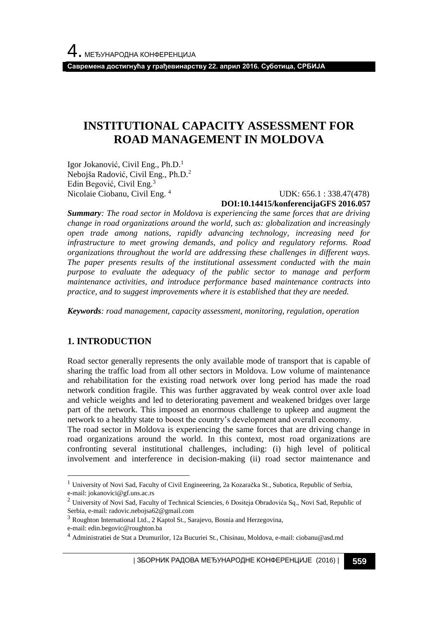**Савремена достигнућа у грађевинарству 22. април 2016. Суботица, СРБИЈА**

# **INSTITUTIONAL CAPACITY ASSESSMENT FOR ROAD MANAGEMENT IN MOLDOVA**

Igor Jokanović, Civil Eng., Ph.D.<sup>1</sup> Nebojša Radović, Civil Eng., Ph.D.<sup>2</sup> Edin Begović, Civil Eng.<sup>3</sup> Nicolaie Ciobanu, Civil Eng. <sup>4</sup>

 UDK: 656.1 : 338.47(478) **DOI:10.14415/konferencijaGFS 2016.057**

*Summary: The road sector in Moldova is experiencing the same forces that are driving change in road organizations around the world, such as: globalization and increasingly open trade among nations, rapidly advancing technology, increasing need for infrastructure to meet growing demands, and policy and regulatory reforms. Road organizations throughout the world are addressing these challenges in different ways. The paper presents results of the institutional assessment conducted with the main purpose to evaluate the adequacy of the public sector to manage and perform maintenance activities, and introduce performance based maintenance contracts into practice, and to suggest improvements where it is established that they are needed.*

*Keywords: road management, capacity assessment, monitoring, regulation, operation*

## **1. INTRODUCTION**

Road sector generally represents the only available mode of transport that is capable of sharing the traffic load from all other sectors in Moldova. Low volume of maintenance and rehabilitation for the existing road network over long period has made the road network condition fragile. This was further aggravated by weak control over axle load and vehicle weights and led to deteriorating pavement and weakened bridges over large part of the network. This imposed an enormous challenge to upkeep and augment the network to a healthy state to boost the country's development and overall economy.

The road sector in Moldova is experiencing the same forces that are driving change in road organizations around the world. In this context, most road organizations are confronting several institutional challenges, including: (i) high level of political involvement and interference in decision-making (ii) road sector maintenance and

l

<sup>&</sup>lt;sup>1</sup> University of Novi Sad, Faculty of Civil Engineeering, 2a Kozaračka St., Subotica, Republic of Serbia, e-mail: jokanovici@gf.uns.ac.rs

<sup>&</sup>lt;sup>2</sup> University of Novi Sad, Faculty of Technical Sciencies, 6 Dositeja Obradovića Sq., Novi Sad, Republic of Serbia, e-mail: radovic.nebojsa62@gmail.com

<sup>3</sup> Roughton International Ltd., 2 Kaptol St., Sarajevo, Bosnia and Herzegovina,

e-mail: edin.begovic@roughton.ba

<sup>4</sup> Administratiei de Stat a Drumurilor, 12a Bucuriei St., Chisinau, Moldova, e-mail: ciobanu@asd.md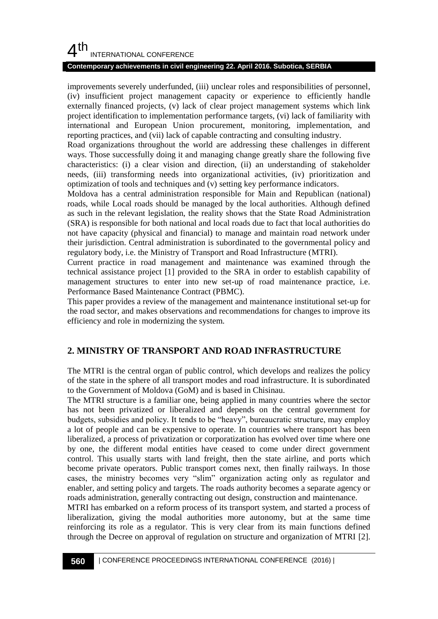#### **Contemporary achievements in civil engineering 22. April 2016. Subotica, SERBIA**

improvements severely underfunded, (iii) unclear roles and responsibilities of personnel, (iv) insufficient project management capacity or experience to efficiently handle externally financed projects, (v) lack of clear project management systems which link project identification to implementation performance targets, (vi) lack of familiarity with international and European Union procurement, monitoring, implementation, and reporting practices, and (vii) lack of capable contracting and consulting industry.

Road organizations throughout the world are addressing these challenges in different ways. Those successfully doing it and managing change greatly share the following five characteristics: (i) a clear vision and direction, (ii) an understanding of stakeholder needs, (iii) transforming needs into organizational activities, (iv) prioritization and optimization of tools and techniques and (v) setting key performance indicators.

Moldova has a central administration responsible for Main and Republican (national) roads, while Local roads should be managed by the local authorities. Although defined as such in the relevant legislation, the reality shows that the State Road Administration (SRA) is responsible for both national and local roads due to fact that local authorities do not have capacity (physical and financial) to manage and maintain road network under their jurisdiction. Central administration is subordinated to the governmental policy and regulatory body, i.e. the Ministry of Transport and Road Infrastructure (MTRI).

Current practice in road management and maintenance was examined through the technical assistance project [1] provided to the SRA in order to establish capability of management structures to enter into new set-up of road maintenance practice, i.e. Performance Based Maintenance Contract (PBMC).

This paper provides a review of the management and maintenance institutional set-up for the road sector, and makes observations and recommendations for changes to improve its efficiency and role in modernizing the system.

## **2. MINISTRY OF TRANSPORT AND ROAD INFRASTRUCTURE**

The MTRI is the central organ of public control, which develops and realizes the policy of the state in the sphere of all transport modes and road infrastructure. It is subordinated to the Government of Moldova (GoM) and is based in Chisinau.

The MTRI structure is a familiar one, being applied in many countries where the sector has not been privatized or liberalized and depends on the central government for budgets, subsidies and policy. It tends to be "heavy", bureaucratic structure, may employ a lot of people and can be expensive to operate. In countries where transport has been liberalized, a process of privatization or corporatization has evolved over time where one by one, the different modal entities have ceased to come under direct government control. This usually starts with land freight, then the state airline, and ports which become private operators. Public transport comes next, then finally railways. In those cases, the ministry becomes very "slim" organization acting only as regulator and enabler, and setting policy and targets. The roads authority becomes a separate agency or roads administration, generally contracting out design, construction and maintenance.

MTRI has embarked on a reform process of its transport system, and started a process of liberalization, giving the modal authorities more autonomy, but at the same time reinforcing its role as a regulator. This is very clear from its main functions defined through the Decree on approval of regulation on structure and organization of MTRI [2].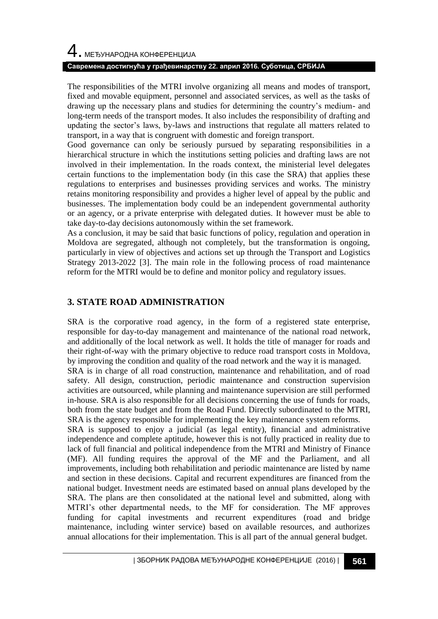#### **Савремена достигнућа у грађевинарству 22. април 2016. Суботица, СРБИЈА**

The responsibilities of the MTRI involve organizing all means and modes of transport, fixed and movable equipment, personnel and associated services, as well as the tasks of drawing up the necessary plans and studies for determining the country's medium- and long-term needs of the transport modes. It also includes the responsibility of drafting and updating the sector's laws, by-laws and instructions that regulate all matters related to transport, in a way that is congruent with domestic and foreign transport.

Good governance can only be seriously pursued by separating responsibilities in a hierarchical structure in which the institutions setting policies and drafting laws are not involved in their implementation. In the roads context, the ministerial level delegates certain functions to the implementation body (in this case the SRA) that applies these regulations to enterprises and businesses providing services and works. The ministry retains monitoring responsibility and provides a higher level of appeal by the public and businesses. The implementation body could be an independent governmental authority or an agency, or a private enterprise with delegated duties. It however must be able to take day-to-day decisions autonomously within the set framework.

As a conclusion, it may be said that basic functions of policy, regulation and operation in Moldova are segregated, although not completely, but the transformation is ongoing, particularly in view of objectives and actions set up through the Transport and Logistics Strategy 2013-2022 [3]. The main role in the following process of road maintenance reform for the MTRI would be to define and monitor policy and regulatory issues.

## **3. STATE ROAD ADMINISTRATION**

SRA is the corporative road agency, in the form of a registered state enterprise, responsible for day-to-day management and maintenance of the national road network, and additionally of the local network as well. It holds the title of manager for roads and their right-of-way with the primary objective to reduce road transport costs in Moldova, by improving the condition and quality of the road network and the way it is managed. SRA is in charge of all road construction, maintenance and rehabilitation, and of road safety. All design, construction, periodic maintenance and construction supervision activities are outsourced, while planning and maintenance supervision are still performed in-house. SRA is also responsible for all decisions concerning the use of funds for roads, both from the state budget and from the Road Fund. Directly subordinated to the MTRI, SRA is the agency responsible for implementing the key maintenance system reforms. SRA is supposed to enjoy a judicial (as legal entity), financial and administrative independence and complete aptitude, however this is not fully practiced in reality due to lack of full financial and political independence from the MTRI and Ministry of Finance (MF). All funding requires the approval of the MF and the Parliament, and all improvements, including both rehabilitation and periodic maintenance are listed by name and section in these decisions. Capital and recurrent expenditures are financed from the national budget. Investment needs are estimated based on annual plans developed by the SRA. The plans are then consolidated at the national level and submitted, along with MTRI's other departmental needs, to the MF for consideration. The MF approves funding for capital investments and recurrent expenditures (road and bridge maintenance, including winter service) based on available resources, and authorizes annual allocations for their implementation. This is all part of the annual general budget.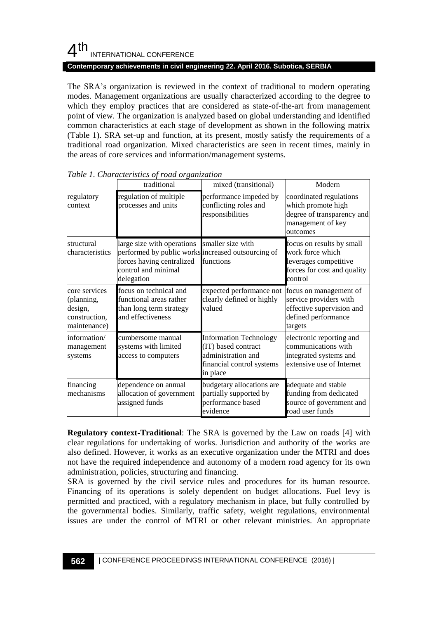#### **Contemporary achievements in civil engineering 22. April 2016. Subotica, SERBIA**

The SRA's organization is reviewed in the context of traditional to modern operating modes. Management organizations are usually characterized according to the degree to which they employ practices that are considered as state-of-the-art from management point of view. The organization is analyzed based on global understanding and identified common characteristics at each stage of development as shown in the following matrix (Table 1). SRA set-up and function, at its present, mostly satisfy the requirements of a traditional road organization. Mixed characteristics are seen in recent times, mainly in the areas of core services and information/management systems.

|                                                                         | traditional                                                                                                                                                          | mixed (transitional)                                                                                                | Modern                                                                                                           |
|-------------------------------------------------------------------------|----------------------------------------------------------------------------------------------------------------------------------------------------------------------|---------------------------------------------------------------------------------------------------------------------|------------------------------------------------------------------------------------------------------------------|
| regulatory<br>context                                                   | regulation of multiple<br>processes and units                                                                                                                        | performance impeded by<br>conflicting roles and<br>responsibilities                                                 | coordinated regulations<br>which promote high<br>degree of transparency and<br>management of key<br>outcomes     |
| structural<br>characteristics                                           | large size with operations smaller size with<br>performed by public works increased outsourcing of<br>forces having centralized<br>control and minimal<br>delegation | functions                                                                                                           | focus on results by small<br>work force which<br>leverages competitive<br>forces for cost and quality<br>control |
| core services<br>(planning,<br>design,<br>construction,<br>maintenance) | focus on technical and<br>functional areas rather<br>than long term strategy<br>and effectiveness                                                                    | expected performance not<br>clearly defined or highly<br>valued                                                     | focus on management of<br>service providers with<br>effective supervision and<br>defined performance<br>targets  |
| information/<br>management<br>systems                                   | cumbersome manual<br>systems with limited<br>access to computers                                                                                                     | <b>Information Technology</b><br>(IT) based contract<br>administration and<br>financial control systems<br>in place | electronic reporting and<br>communications with<br>integrated systems and<br>extensive use of Internet           |
| financing<br>mechanisms                                                 | dependence on annual<br>allocation of government<br>assigned funds                                                                                                   | budgetary allocations are<br>partially supported by<br>performance based<br>evidence                                | adequate and stable<br>funding from dedicated<br>source of government and<br>road user funds                     |

*Table 1. Characteristics of road organization*

**Regulatory context-Traditional**: The SRA is governed by the Law on roads [4] with clear regulations for undertaking of works. Jurisdiction and authority of the works are also defined. However, it works as an executive organization under the MTRI and does not have the required independence and autonomy of a modern road agency for its own administration, policies, structuring and financing.

SRA is governed by the civil service rules and procedures for its human resource. Financing of its operations is solely dependent on budget allocations. Fuel levy is permitted and practiced, with a regulatory mechanism in place, but fully controlled by the governmental bodies. Similarly, traffic safety, weight regulations, environmental issues are under the control of MTRI or other relevant ministries. An appropriate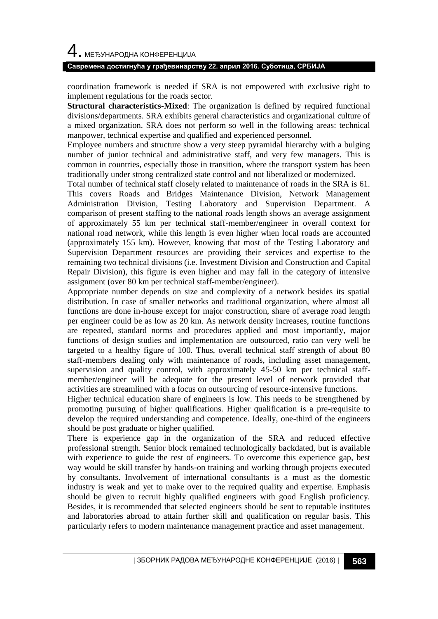#### **Савремена достигнућа у грађевинарству 22. април 2016. Суботица, СРБИЈА**

coordination framework is needed if SRA is not empowered with exclusive right to implement regulations for the roads sector.

**Structural characteristics-Mixed**: The organization is defined by required functional divisions/departments. SRA exhibits general characteristics and organizational culture of a mixed organization. SRA does not perform so well in the following areas: technical manpower, technical expertise and qualified and experienced personnel.

Employee numbers and structure show a very steep pyramidal hierarchy with a bulging number of junior technical and administrative staff, and very few managers. This is common in countries, especially those in transition, where the transport system has been traditionally under strong centralized state control and not liberalized or modernized.

Total number of technical staff closely related to maintenance of roads in the SRA is 61. This covers Roads and Bridges Maintenance Division, Network Management Administration Division, Testing Laboratory and Supervision Department. A comparison of present staffing to the national roads length shows an average assignment of approximately 55 km per technical staff-member/engineer in overall context for national road network, while this length is even higher when local roads are accounted (approximately 155 km). However, knowing that most of the Testing Laboratory and Supervision Department resources are providing their services and expertise to the remaining two technical divisions (i.e. Investment Division and Construction and Capital Repair Division), this figure is even higher and may fall in the category of intensive assignment (over 80 km per technical staff-member/engineer).

Appropriate number depends on size and complexity of a network besides its spatial distribution. In case of smaller networks and traditional organization, where almost all functions are done in-house except for major construction, share of average road length per engineer could be as low as 20 km. As network density increases, routine functions are repeated, standard norms and procedures applied and most importantly, major functions of design studies and implementation are outsourced, ratio can very well be targeted to a healthy figure of 100. Thus, overall technical staff strength of about 80 staff-members dealing only with maintenance of roads, including asset management, supervision and quality control, with approximately 45-50 km per technical staffmember/engineer will be adequate for the present level of network provided that activities are streamlined with a focus on outsourcing of resource-intensive functions.

Higher technical education share of engineers is low. This needs to be strengthened by promoting pursuing of higher qualifications. Higher qualification is a pre-requisite to develop the required understanding and competence. Ideally, one-third of the engineers should be post graduate or higher qualified.

There is experience gap in the organization of the SRA and reduced effective professional strength. Senior block remained technologically backdated, but is available with experience to guide the rest of engineers. To overcome this experience gap, best way would be skill transfer by hands-on training and working through projects executed by consultants. Involvement of international consultants is a must as the domestic industry is weak and yet to make over to the required quality and expertise. Emphasis should be given to recruit highly qualified engineers with good English proficiency. Besides, it is recommended that selected engineers should be sent to reputable institutes and laboratories abroad to attain further skill and qualification on regular basis. This particularly refers to modern maintenance management practice and asset management.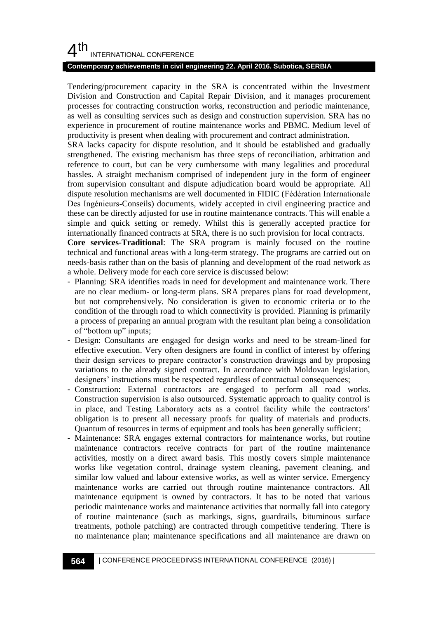#### **Contemporary achievements in civil engineering 22. April 2016. Subotica, SERBIA**

Tendering/procurement capacity in the SRA is concentrated within the Investment Division and Construction and Capital Repair Division, and it manages procurement processes for contracting construction works, reconstruction and periodic maintenance, as well as consulting services such as design and construction supervision. SRA has no experience in procurement of routine maintenance works and PBMC. Medium level of productivity is present when dealing with procurement and contract administration.

SRA lacks capacity for dispute resolution, and it should be established and gradually strengthened. The existing mechanism has three steps of reconciliation, arbitration and reference to court, but can be very cumbersome with many legalities and procedural hassles. A straight mechanism comprised of independent jury in the form of engineer from supervision consultant and dispute adjudication board would be appropriate. All dispute resolution mechanisms are well documented in FIDIC (Fédération Internationale Des Ingénieurs-Conseils) documents, widely accepted in civil engineering practice and these can be directly adjusted for use in routine maintenance contracts. This will enable a simple and quick setting or remedy. Whilst this is generally accepted practice for internationally financed contracts at SRA, there is no such provision for local contracts.

**Core services-Traditional**: The SRA program is mainly focused on the routine technical and functional areas with a long-term strategy. The programs are carried out on needs-basis rather than on the basis of planning and development of the road network as a whole. Delivery mode for each core service is discussed below:

- Planning: SRA identifies roads in need for development and maintenance work. There are no clear medium- or long-term plans. SRA prepares plans for road development, but not comprehensively. No consideration is given to economic criteria or to the condition of the through road to which connectivity is provided. Planning is primarily a process of preparing an annual program with the resultant plan being a consolidation of "bottom up" inputs;
- Design: Consultants are engaged for design works and need to be stream-lined for effective execution. Very often designers are found in conflict of interest by offering their design services to prepare contractor's construction drawings and by proposing variations to the already signed contract. In accordance with Moldovan legislation, designers' instructions must be respected regardless of contractual consequences;
- Construction: External contractors are engaged to perform all road works. Construction supervision is also outsourced. Systematic approach to quality control is in place, and Testing Laboratory acts as a control facility while the contractors' obligation is to present all necessary proofs for quality of materials and products. Quantum of resources in terms of equipment and tools has been generally sufficient;
- Maintenance: SRA engages external contractors for maintenance works, but routine maintenance contractors receive contracts for part of the routine maintenance activities, mostly on a direct award basis. This mostly covers simple maintenance works like vegetation control, drainage system cleaning, pavement cleaning, and similar low valued and labour extensive works, as well as winter service. Emergency maintenance works are carried out through routine maintenance contractors. All maintenance equipment is owned by contractors. It has to be noted that various periodic maintenance works and maintenance activities that normally fall into category of routine maintenance (such as markings, signs, guardrails, bituminous surface treatments, pothole patching) are contracted through competitive tendering. There is no maintenance plan; maintenance specifications and all maintenance are drawn on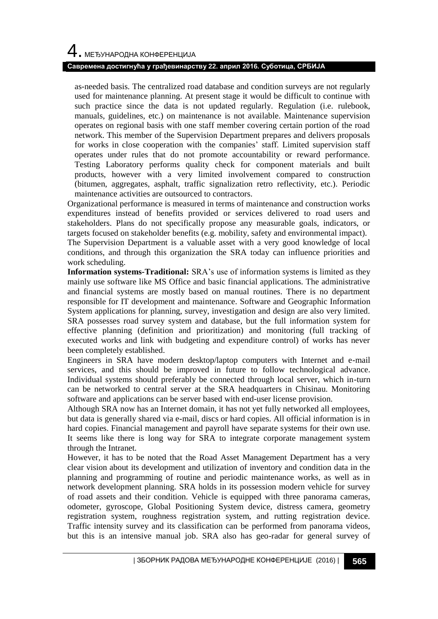#### **Савремена достигнућа у грађевинарству 22. април 2016. Суботица, СРБИЈА**

as-needed basis. The centralized road database and condition surveys are not regularly used for maintenance planning. At present stage it would be difficult to continue with such practice since the data is not updated regularly. Regulation (i.e. rulebook, manuals, guidelines, etc.) on maintenance is not available. Maintenance supervision operates on regional basis with one staff member covering certain portion of the road network. This member of the Supervision Department prepares and delivers proposals for works in close cooperation with the companies' staff. Limited supervision staff operates under rules that do not promote accountability or reward performance. Testing Laboratory performs quality check for component materials and built products, however with a very limited involvement compared to construction (bitumen, aggregates, asphalt, traffic signalization retro reflectivity, etc.). Periodic maintenance activities are outsourced to contractors.

Organizational performance is measured in terms of maintenance and construction works expenditures instead of benefits provided or services delivered to road users and stakeholders. Plans do not specifically propose any measurable goals, indicators, or targets focused on stakeholder benefits (e.g. mobility, safety and environmental impact).

The Supervision Department is a valuable asset with a very good knowledge of local conditions, and through this organization the SRA today can influence priorities and work scheduling.

**Information systems-Traditional:** SRA's use of information systems is limited as they mainly use software like MS Office and basic financial applications. The administrative and financial systems are mostly based on manual routines. There is no department responsible for IT development and maintenance. Software and Geographic Information System applications for planning, survey, investigation and design are also very limited. SRA possesses road survey system and database, but the full information system for effective planning (definition and prioritization) and monitoring (full tracking of executed works and link with budgeting and expenditure control) of works has never been completely established.

Engineers in SRA have modern desktop/laptop computers with Internet and e-mail services, and this should be improved in future to follow technological advance. Individual systems should preferably be connected through local server, which in-turn can be networked to central server at the SRA headquarters in Chisinau. Monitoring software and applications can be server based with end-user license provision.

Although SRA now has an Internet domain, it has not yet fully networked all employees, but data is generally shared via e-mail, discs or hard copies. All official information is in hard copies. Financial management and payroll have separate systems for their own use. It seems like there is long way for SRA to integrate corporate management system through the Intranet.

However, it has to be noted that the Road Asset Management Department has a very clear vision about its development and utilization of inventory and condition data in the planning and programming of routine and periodic maintenance works, as well as in network development planning. SRA holds in its possession modern vehicle for survey of road assets and their condition. Vehicle is equipped with three panorama cameras, odometer, gyroscope, Global Positioning System device, distress camera, geometry registration system, roughness registration system, and rutting registration device. Traffic intensity survey and its classification can be performed from panorama videos, but this is an intensive manual job. SRA also has geo-radar for general survey of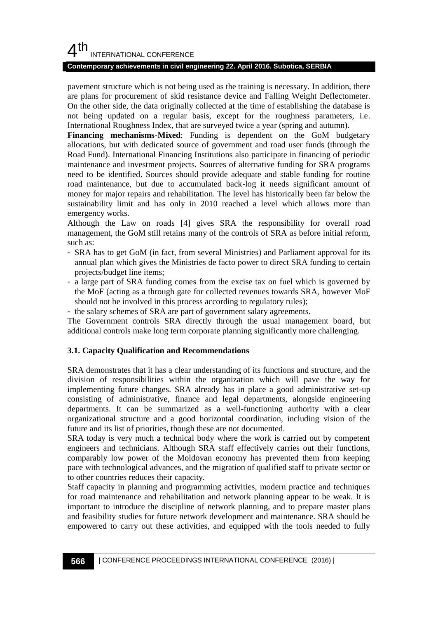#### **Contemporary achievements in civil engineering 22. April 2016. Subotica, SERBIA**

pavement structure which is not being used as the training is necessary. In addition, there are plans for procurement of skid resistance device and Falling Weight Deflectometer. On the other side, the data originally collected at the time of establishing the database is not being updated on a regular basis, except for the roughness parameters, i.e. International Roughness Index, that are surveyed twice a year (spring and autumn).

**Financing mechanisms-Mixed**: Funding is dependent on the GoM budgetary allocations, but with dedicated source of government and road user funds (through the Road Fund). International Financing Institutions also participate in financing of periodic maintenance and investment projects. Sources of alternative funding for SRA programs need to be identified. Sources should provide adequate and stable funding for routine road maintenance, but due to accumulated back-log it needs significant amount of money for major repairs and rehabilitation. The level has historically been far below the sustainability limit and has only in 2010 reached a level which allows more than emergency works.

Although the Law on roads [4] gives SRA the responsibility for overall road management, the GoM still retains many of the controls of SRA as before initial reform, such as:

- SRA has to get GoM (in fact, from several Ministries) and Parliament approval for its annual plan which gives the Ministries de facto power to direct SRA funding to certain projects/budget line items;
- a large part of SRA funding comes from the excise tax on fuel which is governed by the MoF (acting as a through gate for collected revenues towards SRA, however MoF should not be involved in this process according to regulatory rules);
- the salary schemes of SRA are part of government salary agreements.

The Government controls SRA directly through the usual management board, but additional controls make long term corporate planning significantly more challenging.

#### **3.1. Capacity Qualification and Recommendations**

SRA demonstrates that it has a clear understanding of its functions and structure, and the division of responsibilities within the organization which will pave the way for implementing future changes. SRA already has in place a good administrative set-up consisting of administrative, finance and legal departments, alongside engineering departments. It can be summarized as a well-functioning authority with a clear organizational structure and a good horizontal coordination, including vision of the future and its list of priorities, though these are not documented.

SRA today is very much a technical body where the work is carried out by competent engineers and technicians. Although SRA staff effectively carries out their functions, comparably low power of the Moldovan economy has prevented them from keeping pace with technological advances, and the migration of qualified staff to private sector or to other countries reduces their capacity.

Staff capacity in planning and programming activities, modern practice and techniques for road maintenance and rehabilitation and network planning appear to be weak. It is important to introduce the discipline of network planning, and to prepare master plans and feasibility studies for future network development and maintenance. SRA should be empowered to carry out these activities, and equipped with the tools needed to fully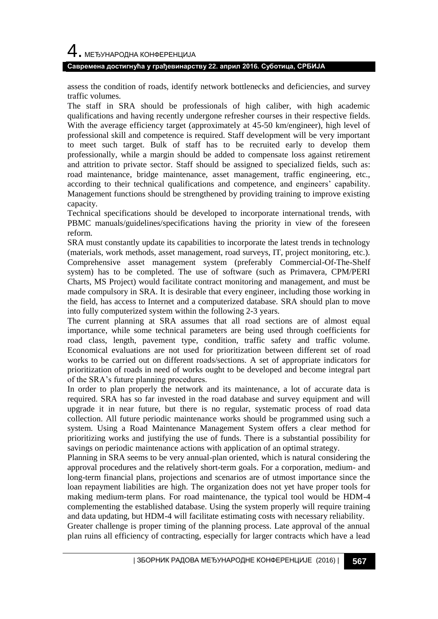#### **Савремена достигнућа у грађевинарству 22. април 2016. Суботица, СРБИЈА**

assess the condition of roads, identify network bottlenecks and deficiencies, and survey traffic volumes.

The staff in SRA should be professionals of high caliber, with high academic qualifications and having recently undergone refresher courses in their respective fields. With the average efficiency target (approximately at 45-50 km/engineer), high level of professional skill and competence is required. Staff development will be very important to meet such target. Bulk of staff has to be recruited early to develop them professionally, while a margin should be added to compensate loss against retirement and attrition to private sector. Staff should be assigned to specialized fields, such as: road maintenance, bridge maintenance, asset management, traffic engineering, etc., according to their technical qualifications and competence, and engineers' capability. Management functions should be strengthened by providing training to improve existing capacity.

Technical specifications should be developed to incorporate international trends, with PBMC manuals/guidelines/specifications having the priority in view of the foreseen reform.

SRA must constantly update its capabilities to incorporate the latest trends in technology (materials, work methods, asset management, road surveys, IT, project monitoring, etc.). Comprehensive asset management system (preferably Commercial-Of-The-Shelf system) has to be completed. The use of software (such as Primavera, CPM/PERI Charts, MS Project) would facilitate contract monitoring and management, and must be made compulsory in SRA. It is desirable that every engineer, including those working in the field, has access to Internet and a computerized database. SRA should plan to move into fully computerized system within the following 2-3 years.

The current planning at SRA assumes that all road sections are of almost equal importance, while some technical parameters are being used through coefficients for road class, length, pavement type, condition, traffic safety and traffic volume. Economical evaluations are not used for prioritization between different set of road works to be carried out on different roads/sections. A set of appropriate indicators for prioritization of roads in need of works ought to be developed and become integral part of the SRA's future planning procedures.

In order to plan properly the network and its maintenance, a lot of accurate data is required. SRA has so far invested in the road database and survey equipment and will upgrade it in near future, but there is no regular, systematic process of road data collection. All future periodic maintenance works should be programmed using such a system. Using a Road Maintenance Management System offers a clear method for prioritizing works and justifying the use of funds. There is a substantial possibility for savings on periodic maintenance actions with application of an optimal strategy.

Planning in SRA seems to be very annual-plan oriented, which is natural considering the approval procedures and the relatively short-term goals. For a corporation, medium- and long-term financial plans, projections and scenarios are of utmost importance since the loan repayment liabilities are high. The organization does not yet have proper tools for making medium-term plans. For road maintenance, the typical tool would be HDM-4 complementing the established database. Using the system properly will require training and data updating, but HDM-4 will facilitate estimating costs with necessary reliability.

Greater challenge is proper timing of the planning process. Late approval of the annual plan ruins all efficiency of contracting, especially for larger contracts which have a lead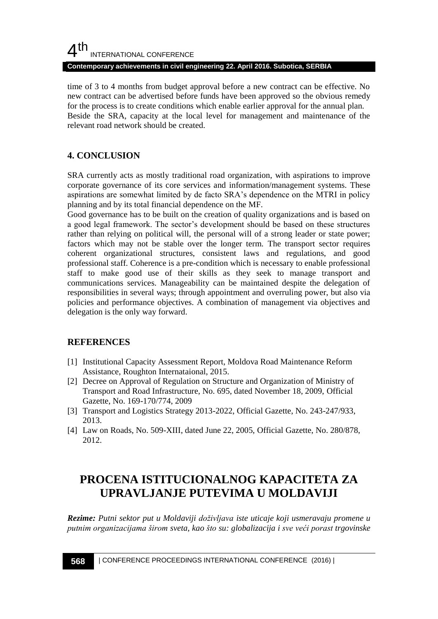#### $4<sup>th</sup>$ INTERNATIONAL CONFERENCE **Contemporary achievements in civil engineering 22. April 2016. Subotica, SERBIA**

time of 3 to 4 months from budget approval before a new contract can be effective. No new contract can be advertised before funds have been approved so the obvious remedy for the process is to create conditions which enable earlier approval for the annual plan. Beside the SRA, capacity at the local level for management and maintenance of the relevant road network should be created.

# **4. CONCLUSION**

SRA currently acts as mostly traditional road organization, with aspirations to improve corporate governance of its core services and information/management systems. These aspirations are somewhat limited by de facto SRA's dependence on the MTRI in policy planning and by its total financial dependence on the MF.

Good governance has to be built on the creation of quality organizations and is based on a good legal framework. The sector's development should be based on these structures rather than relying on political will, the personal will of a strong leader or state power; factors which may not be stable over the longer term. The transport sector requires coherent organizational structures, consistent laws and regulations, and good professional staff. Coherence is a pre-condition which is necessary to enable professional staff to make good use of their skills as they seek to manage transport and communications services. Manageability can be maintained despite the delegation of responsibilities in several ways; through appointment and overruling power, but also via policies and performance objectives. A combination of management via objectives and delegation is the only way forward.

## **REFERENCES**

- [1] Institutional Capacity Assessment Report, Moldova Road Maintenance Reform Assistance, Roughton Internataional, 2015.
- [2] Decree on Approval of Regulation on Structure and Organization of Ministry of Transport and Road Infrastructure, No. 695, dated November 18, 2009, Official Gazette, No. 169-170/774, 2009
- [3] Transport and Logistics Strategy 2013-2022, Official Gazette, No. 243-247/933, 2013.
- [4] Law on Roads, No. 509-XIII, dated June 22, 2005, Official Gazette, No. 280/878, 2012.

# **PROCENA ISTITUCIONALNOG KAPACITETA ZA UPRAVLJANJE PUTEVIMA U MOLDAVIJI**

*Rezime: Putni sektor put u Moldaviji doživlјava iste uticaje koji usmeravaju promene u putnim organizacijama širom sveta, kao što su: globalizacija i sve veći porast trgovinske*